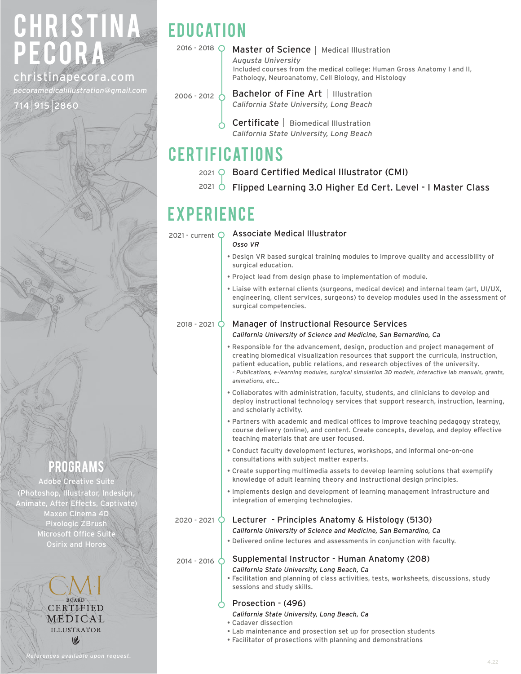# CHRISTINA PECORA 2016 - 2018

### christinapecora.com

*pecoramedicalillustration@gmail.com*

2860

## **EDUCATION**

#### 2016 - 2018 Q Master of Science | Medical Illustration *Augusta University*

 Included courses from the medical college: Human Gross Anatomy I and II, Pathology, Neuroanatomy, Cell Biology, and Histology

2006 - 2012  $\circ$  Bachelor of Fine Art | Illustration *California State University, Long Beach*

> $C$ ertificate  $|$  Biomedical Illustration *California State University, Long Beach*

### **CERTIFICATIONS**

- $2021 \circledcirc$  Board Certified Medical Illustrator (CMI)
- $^{2021}$   $\circlearrowright$  Flipped Learning 3.0 Higher Ed Cert. Level I Master Class

### **EXPERIENCE**

2021 - current  $Q$  Associate Medical Illustrator

*Osso VR*

- Design VR based surgical training modules to improve quality and accessibility of surgical education.
- Project lead from design phase to implementation of module.
- Liaise with external clients (surgeons, medical device) and internal team (art, UI/UX, engineering, client services, surgeons) to develop modules used in the assessment of surgical competencies.

2018 - 2021 O

#### Manager of Instructional Resource Services *California University of Science and Medicine, San Bernardino, Ca*

- Responsible for the advancement, design, production and project management of creating biomedical visualization resources that support the curricula, instruction, patient education, public relations, and research objectives of the university. *- Publications, e-learning modules, surgical simulation 3D models, interactive lab manuals, grants, animations, etc...*
- Collaborates with administration, faculty, students, and clinicians to develop and deploy instructional technology services that support research, instruction, learning, and scholarly activity.
- Partners with academic and medical offices to improve teaching pedagogy strategy, course delivery (online), and content. Create concepts, develop, and deploy effective teaching materials that are user focused.
- Conduct faculty development lectures, workshops, and informal one-on-one consultations with subject matter experts.
- Create supporting multimedia assets to develop learning solutions that exemplify knowledge of adult learning theory and instructional design principles.
- Implements design and development of learning management infrastructure and integration of emerging technologies.

2020 - 2021 O

#### Lecturer - Principles Anatomy & Histology (5130)

*California University of Science and Medicine, San Bernardino, Ca*

• Delivered online lectures and assessments in conjunction with faculty.

 $_{2014}$  -  $_{2016}$   $\circ$  Supplemental Instructor - Human Anatomy (208)

- *California State University, Long Beach, Ca*
- Facilitation and planning of class activities, tests, worksheets, discussions, study sessions and study skills.
- Prosection (496)
- *California State University, Long Beach, Ca*
- Cadaver dissection
- Lab maintenance and prosection set up for prosection students
- Facilitator of prosections with planning and demonstrations

CERTIFIED MEDICAL **ILLUSTRATOR**  $\omega$ 

programs Adobe Creative Suite (Photoshop, Illustrator, Indesign, Animate, After Effects, Captivate) Maxon Cinema 4D Pixologic ZBrush Microsoft Office Suite Osirix and Horos